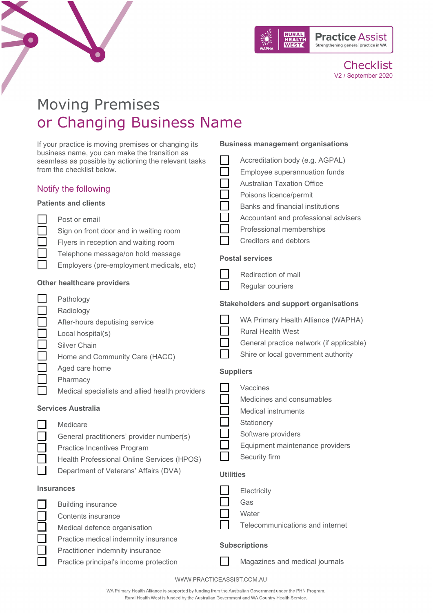



**Business management organisations**

Australian Taxation Office Poisons licence/permit

Professional memberships Creditors and debtors

Redirection of mail Regular couriers

**Postal services**

Accreditation body (e.g. AGPAL) Employee superannuation funds

Banks and financial institutions

Accountant and professional advisers

**Checklist** V2 / September 2020

# Moving Premises or Changing Business Name

If your practice is moving premises or changing its business name, you can make the transition as seamless as possible by actioning the relevant tasks from the checklist below.

# Notify the following

#### **Patients and clients**

Post or email Sign on front door and in waiting room Flyers in reception and waiting room

Telephone message/on hold message

Employers (pre-employment medicals, etc)

## **Other healthcare providers**

|                                                                                                                                                                                                                                |                                               | 11099101 00011010                                                                                                                                           |  |
|--------------------------------------------------------------------------------------------------------------------------------------------------------------------------------------------------------------------------------|-----------------------------------------------|-------------------------------------------------------------------------------------------------------------------------------------------------------------|--|
| Pathology                                                                                                                                                                                                                      | <b>Stakeholders and support organisations</b> |                                                                                                                                                             |  |
| Radiology<br>After-hours deputising service<br>Local hospital(s)<br><b>Silver Chain</b><br>Home and Community Care (HACC)                                                                                                      |                                               | WA Primary Health Alliance (WAPHA)<br><b>Rural Health West</b><br>General practice network (if applicable)<br>Shire or local government authority           |  |
| Aged care home                                                                                                                                                                                                                 |                                               | <b>Suppliers</b>                                                                                                                                            |  |
| Pharmacy<br>Medical specialists and allied health providers<br><b>Services Australia</b><br>Medicare<br>General practitioners' provider number(s)<br>Practice Incentives Program<br>Health Professional Online Services (HPOS) |                                               | Vaccines<br>Medicines and consumables<br><b>Medical instruments</b><br>Stationery<br>Software providers<br>Equipment maintenance providers<br>Security firm |  |
| Department of Veterans' Affairs (DVA)                                                                                                                                                                                          | <b>Utilities</b>                              |                                                                                                                                                             |  |
| <b>Insurances</b><br><b>Building insurance</b><br>Contante incurance                                                                                                                                                           |                                               | Electricity<br>Gas<br>Water                                                                                                                                 |  |

- Contents insurance
- Medical defence organisation
- Practice medical indemnity insurance
- Practitioner indemnity insurance
	- Practice principal's income protection

# **Subscriptions**

Magazines and medical journals

Telecommunications and internet

WWW.PRACTICEASSIST.COM.AU

WA Primary Health Alliance is supported by funding from the Australian Government under the PHN Program. Rural Health West is funded by the Australian Government and WA Country Health Service.